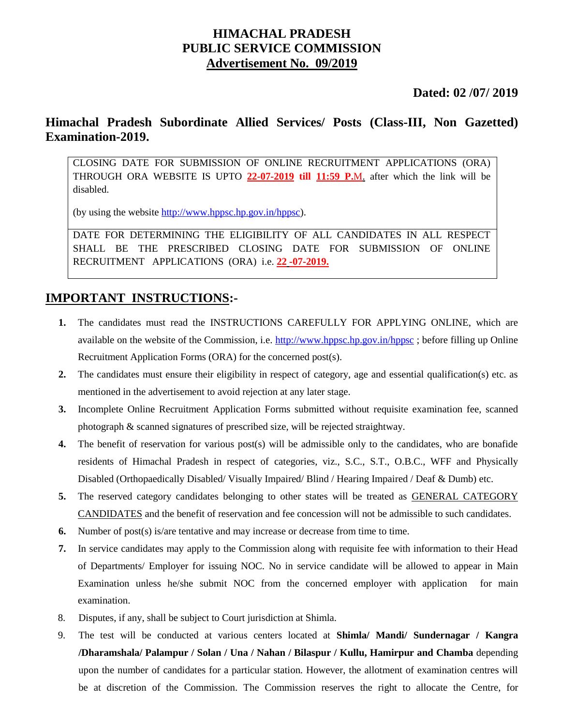## **HIMACHAL PRADESH PUBLIC SERVICE COMMISSION Advertisement No. 09/2019**

### **Dated: 02 /07/ 2019**

## **Himachal Pradesh Subordinate Allied Services/ Posts (Class-III, Non Gazetted) Examination-2019.**

CLOSING DATE FOR SUBMISSION OF ONLINE RECRUITMENT APPLICATIONS (ORA) THROUGH ORA WEBSITE IS UPTO **22-07-2019 till 11:59 P.**M. after which the link will be disabled.

(by using the website [http://www.hppsc.hp.gov.in/hppsc\)](http://www.hppsc.hp.gov.in/hppsc).

DATE FOR DETERMINING THE ELIGIBILITY OF ALL CANDIDATES IN ALL RESPECT SHALL BE THE PRESCRIBED CLOSING DATE FOR SUBMISSION OF ONLINE RECRUITMENT APPLICATIONS (ORA) i.e. **22 -07-2019.**

## **IMPORTANT INSTRUCTIONS:-**

- **1.** The candidates must read the INSTRUCTIONS CAREFULLY FOR APPLYING ONLINE, which are available on the website of the Commission, i.e.<http://www.hppsc.hp.gov.in/hppsc> ; before filling up Online Recruitment Application Forms (ORA) for the concerned post(s).
- **2.** The candidates must ensure their eligibility in respect of category, age and essential qualification(s) etc. as mentioned in the advertisement to avoid rejection at any later stage.
- **3.** Incomplete Online Recruitment Application Forms submitted without requisite examination fee, scanned photograph & scanned signatures of prescribed size, will be rejected straightway.
- **4.** The benefit of reservation for various post(s) will be admissible only to the candidates, who are bonafide residents of Himachal Pradesh in respect of categories, viz., S.C., S.T., O.B.C., WFF and Physically Disabled (Orthopaedically Disabled/ Visually Impaired/ Blind / Hearing Impaired / Deaf & Dumb) etc.
- **5.** The reserved category candidates belonging to other states will be treated as GENERAL CATEGORY CANDIDATES and the benefit of reservation and fee concession will not be admissible to such candidates.
- **6.** Number of post(s) is/are tentative and may increase or decrease from time to time.
- **7.** In service candidates may apply to the Commission along with requisite fee with information to their Head of Departments/ Employer for issuing NOC. No in service candidate will be allowed to appear in Main Examination unless he/she submit NOC from the concerned employer with application for main examination.
- 8. Disputes, if any, shall be subject to Court jurisdiction at Shimla.
- 9. The test will be conducted at various centers located at **Shimla/ Mandi/ Sundernagar / Kangra /Dharamshala/ Palampur / Solan / Una / Nahan / Bilaspur / Kullu, Hamirpur and Chamba** depending upon the number of candidates for a particular station. However, the allotment of examination centres will be at discretion of the Commission. The Commission reserves the right to allocate the Centre, for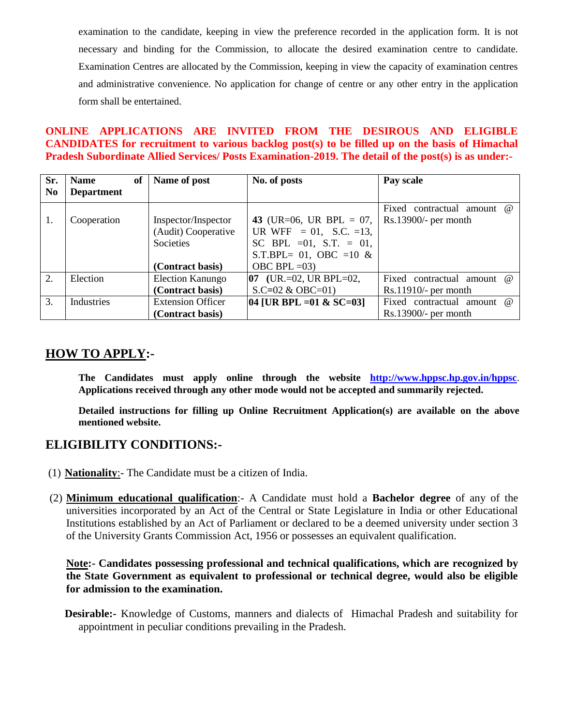examination to the candidate, keeping in view the preference recorded in the application form. It is not necessary and binding for the Commission, to allocate the desired examination centre to candidate. Examination Centres are allocated by the Commission, keeping in view the capacity of examination centres and administrative convenience. No application for change of centre or any other entry in the application form shall be entertained.

### **ONLINE APPLICATIONS ARE INVITED FROM THE DESIROUS AND ELIGIBLE CANDIDATES for recruitment to various backlog post(s) to be filled up on the basis of Himachal Pradesh Subordinate Allied Services/ Posts Examination-2019. The detail of the post(s) is as under:-**

| Sr.            | <b>Name</b>       | Name of post<br>of       | No. of posts                                   | Pay scale                            |
|----------------|-------------------|--------------------------|------------------------------------------------|--------------------------------------|
| N <sub>0</sub> | <b>Department</b> |                          |                                                |                                      |
|                |                   |                          |                                                | contractual amount $\omega$<br>Fixed |
| 1.             | Cooperation       | Inspector/Inspector      | 43 (UR=06, UR BPL = 07,                        | $Rs.13900/-$ per month               |
|                |                   | (Audit) Cooperative      | UR WFF = 01, S.C. =13,                         |                                      |
|                |                   | Societies                | SC BPL = 01, S.T. = 01,                        |                                      |
|                |                   |                          | S.T.BPL= 01, OBC = 10 $&$                      |                                      |
|                |                   | (Contract basis)         | OBC BPL $=03$ )                                |                                      |
| 2.             | Election          | <b>Election Kanungo</b>  | $[07 \text{ (UR. = } 02, \text{ UR BPL} = 02,$ | Fixed contractual amount $\omega$    |
|                |                   | (Contract basis)         | $S.C=02 \& OBC=01$                             | $Rs.11910/-$ per month               |
| 3.             | Industries        | <b>Extension Officer</b> | $[04]$ [UR BPL = 01 & SC=03]                   | Fixed contractual amount @           |
|                |                   | (Contract basis)         |                                                | $Rs.13900/-$ per month               |

## **HOW TO APPLY:-**

**The Candidates must apply online through the website <http://www.hppsc.hp.gov.in/hppsc>**. **Applications received through any other mode would not be accepted and summarily rejected.** 

**Detailed instructions for filling up Online Recruitment Application(s) are available on the above mentioned website.**

## **ELIGIBILITY CONDITIONS:-**

- (1) **Nationality**:- The Candidate must be a citizen of India.
- (2) **Minimum educational qualification**:- A Candidate must hold a **Bachelor degree** of any of the universities incorporated by an Act of the Central or State Legislature in India or other Educational Institutions established by an Act of Parliament or declared to be a deemed university under section 3 of the University Grants Commission Act, 1956 or possesses an equivalent qualification.

**Note:- Candidates possessing professional and technical qualifications, which are recognized by the State Government as equivalent to professional or technical degree, would also be eligible for admission to the examination.** 

**Desirable:-** Knowledge of Customs, manners and dialects of Himachal Pradesh and suitability for appointment in peculiar conditions prevailing in the Pradesh.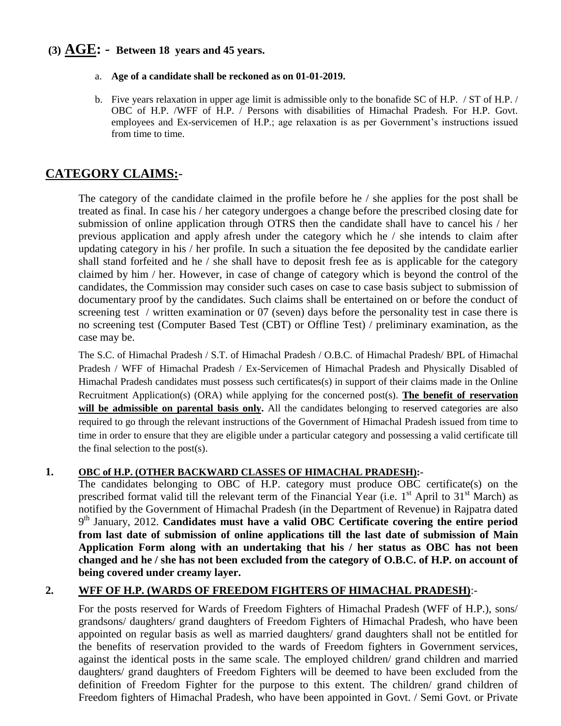## **(3) AGE:** - **Between 18 years and 45 years.**

- a. **Age of a candidate shall be reckoned as on 01-01-2019.**
- b. Five years relaxation in upper age limit is admissible only to the bonafide SC of H.P. / ST of H.P. / OBC of H.P. /WFF of H.P. / Persons with disabilities of Himachal Pradesh. For H.P. Govt. employees and Ex-servicemen of H.P.; age relaxation is as per Government's instructions issued from time to time.

## **CATEGORY CLAIMS:***-*

The category of the candidate claimed in the profile before he / she applies for the post shall be treated as final. In case his / her category undergoes a change before the prescribed closing date for submission of online application through OTRS then the candidate shall have to cancel his / her previous application and apply afresh under the category which he / she intends to claim after updating category in his / her profile. In such a situation the fee deposited by the candidate earlier shall stand forfeited and he / she shall have to deposit fresh fee as is applicable for the category claimed by him / her. However, in case of change of category which is beyond the control of the candidates, the Commission may consider such cases on case to case basis subject to submission of documentary proof by the candidates. Such claims shall be entertained on or before the conduct of screening test / written examination or 07 (seven) days before the personality test in case there is no screening test (Computer Based Test (CBT) or Offline Test) / preliminary examination, as the case may be.

The S.C. of Himachal Pradesh / S.T. of Himachal Pradesh / O.B.C. of Himachal Pradesh/ BPL of Himachal Pradesh / WFF of Himachal Pradesh / Ex-Servicemen of Himachal Pradesh and Physically Disabled of Himachal Pradesh candidates must possess such certificates(s) in support of their claims made in the Online Recruitment Application(s) (ORA) while applying for the concerned post(s). **The benefit of reservation**  will be admissible on parental basis only. All the candidates belonging to reserved categories are also required to go through the relevant instructions of the Government of Himachal Pradesh issued from time to time in order to ensure that they are eligible under a particular category and possessing a valid certificate till the final selection to the post(s).

### **1. OBC of H.P. (OTHER BACKWARD CLASSES OF HIMACHAL PRADESH):-**

The candidates belonging to OBC of H.P. category must produce OBC certificate(s) on the prescribed format valid till the relevant term of the Financial Year (i.e. 1<sup>st</sup> April to 31<sup>st</sup> March) as notified by the Government of Himachal Pradesh (in the Department of Revenue) in Rajpatra dated 9<sup>th</sup> January, 2012. Candidates must have a valid OBC Certificate covering the entire period **from last date of submission of online applications till the last date of submission of Main Application Form along with an undertaking that his / her status as OBC has not been changed and he / she has not been excluded from the category of O.B.C. of H.P. on account of being covered under creamy layer.** 

### **2. WFF OF H.P. (WARDS OF FREEDOM FIGHTERS OF HIMACHAL PRADESH)**:-

For the posts reserved for Wards of Freedom Fighters of Himachal Pradesh (WFF of H.P.), sons/ grandsons/ daughters/ grand daughters of Freedom Fighters of Himachal Pradesh, who have been appointed on regular basis as well as married daughters/ grand daughters shall not be entitled for the benefits of reservation provided to the wards of Freedom fighters in Government services, against the identical posts in the same scale. The employed children/ grand children and married daughters/ grand daughters of Freedom Fighters will be deemed to have been excluded from the definition of Freedom Fighter for the purpose to this extent. The children/ grand children of Freedom fighters of Himachal Pradesh, who have been appointed in Govt. / Semi Govt. or Private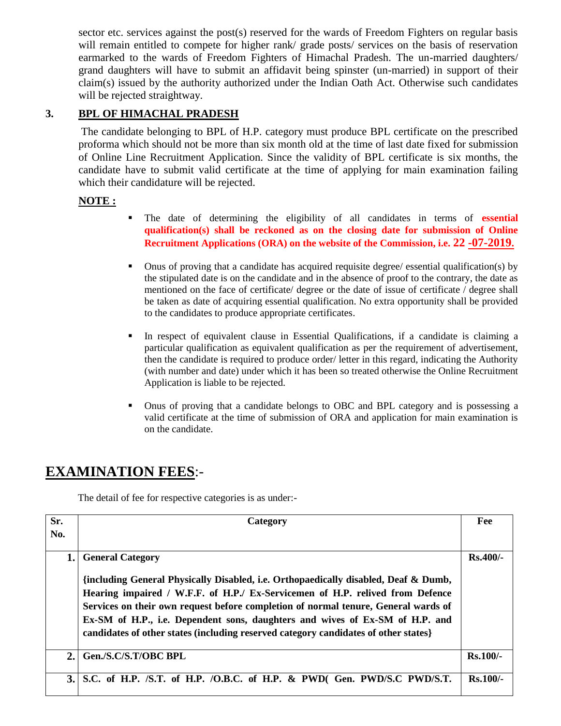sector etc. services against the post(s) reserved for the wards of Freedom Fighters on regular basis will remain entitled to compete for higher rank/ grade posts/ services on the basis of reservation earmarked to the wards of Freedom Fighters of Himachal Pradesh. The un-married daughters/ grand daughters will have to submit an affidavit being spinster (un-married) in support of their claim(s) issued by the authority authorized under the Indian Oath Act. Otherwise such candidates will be rejected straightway.

## **3. BPL OF HIMACHAL PRADESH**

 The candidate belonging to BPL of H.P. category must produce BPL certificate on the prescribed proforma which should not be more than six month old at the time of last date fixed for submission of Online Line Recruitment Application. Since the validity of BPL certificate is six months, the candidate have to submit valid certificate at the time of applying for main examination failing which their candidature will be rejected.

### **NOTE :**

- The date of determining the eligibility of all candidates in terms of **essential qualification(s) shall be reckoned as on the closing date for submission of Online Recruitment Applications (ORA) on the website of the Commission, i.e. 22 -07-2019.**
- Onus of proving that a candidate has acquired requisite degree/ essential qualification(s) by the stipulated date is on the candidate and in the absence of proof to the contrary, the date as mentioned on the face of certificate/ degree or the date of issue of certificate / degree shall be taken as date of acquiring essential qualification. No extra opportunity shall be provided to the candidates to produce appropriate certificates.
- In respect of equivalent clause in Essential Qualifications, if a candidate is claiming a particular qualification as equivalent qualification as per the requirement of advertisement, then the candidate is required to produce order/ letter in this regard, indicating the Authority (with number and date) under which it has been so treated otherwise the Online Recruitment Application is liable to be rejected.
- Onus of proving that a candidate belongs to OBC and BPL category and is possessing a valid certificate at the time of submission of ORA and application for main examination is on the candidate.

## **EXAMINATION FEES**:-

The detail of fee for respective categories is as under:-

| Sr.<br>No. | Category                                                                                                                                                                                                                                                                                                                                                              | Fee        |
|------------|-----------------------------------------------------------------------------------------------------------------------------------------------------------------------------------------------------------------------------------------------------------------------------------------------------------------------------------------------------------------------|------------|
| 1.         | <b>General Category</b><br>{including General Physically Disabled, i.e. Orthopaedically disabled, Deaf & Dumb,<br>Hearing impaired / W.F.F. of H.P./ Ex-Servicemen of H.P. relived from Defence<br>Services on their own request before completion of normal tenure, General wards of<br>Ex-SM of H.P., i.e. Dependent sons, daughters and wives of Ex-SM of H.P. and | $Rs.400/-$ |
| 2.         | candidates of other states (including reserved category candidates of other states)<br>Gen./S.C/S.T/OBC BPL                                                                                                                                                                                                                                                           | $Rs.100/-$ |
| 3.1        | S.C. of H.P. /S.T. of H.P. /O.B.C. of H.P. & PWD(Gen. PWD/S.C PWD/S.T.                                                                                                                                                                                                                                                                                                | $Rs.100/-$ |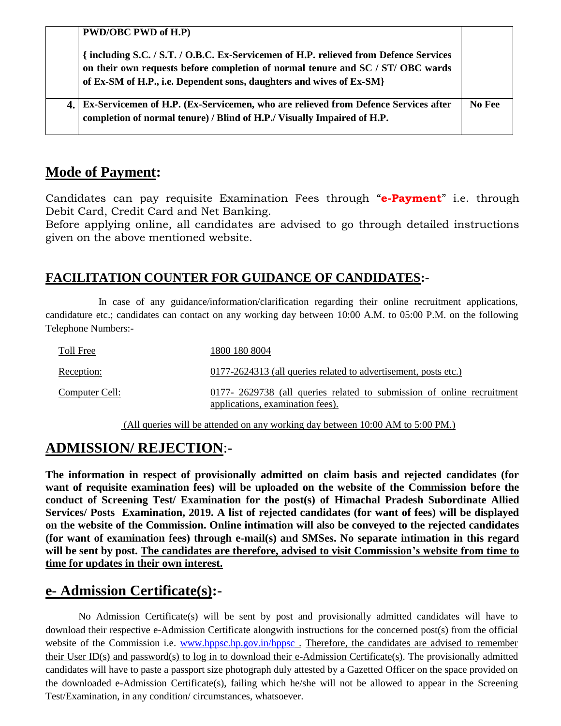| <b>PWD/OBC PWD of H.P)</b>                                                                                                                                                                                                                       |        |
|--------------------------------------------------------------------------------------------------------------------------------------------------------------------------------------------------------------------------------------------------|--------|
| { including S.C. / S.T. / O.B.C. Ex-Servicemen of H.P. relieved from Defence Services<br>on their own requests before completion of normal tenure and SC / ST/ OBC wards<br>of Ex-SM of H.P., i.e. Dependent sons, daughters and wives of Ex-SM} |        |
| Ex-Servicemen of H.P. (Ex-Servicemen, who are relieved from Defence Services after<br>completion of normal tenure) / Blind of H.P./ Visually Impaired of H.P.                                                                                    | No Fee |

## **Mode of Payment:**

Candidates can pay requisite Examination Fees through "**e-Payment**" i.e. through Debit Card, Credit Card and Net Banking.

Before applying online, all candidates are advised to go through detailed instructions given on the above mentioned website.

## **FACILITATION COUNTER FOR GUIDANCE OF CANDIDATES:-**

In case of any guidance/information/clarification regarding their online recruitment applications, candidature etc.; candidates can contact on any working day between 10:00 A.M. to 05:00 P.M. on the following Telephone Numbers:-

| Toll Free      | 1800 180 8004                                                                                              |
|----------------|------------------------------------------------------------------------------------------------------------|
| Reception:     | 0177-2624313 (all queries related to advertisement, posts etc.)                                            |
| Computer Cell: | 0177- 2629738 (all queries related to submission of online recruitment<br>applications, examination fees). |

(All queries will be attended on any working day between 10:00 AM to 5:00 PM.)

## **ADMISSION/ REJECTION**:-

**The information in respect of provisionally admitted on claim basis and rejected candidates (for want of requisite examination fees) will be uploaded on the website of the Commission before the conduct of Screening Test/ Examination for the post(s) of Himachal Pradesh Subordinate Allied Services/ Posts Examination, 2019. A list of rejected candidates (for want of fees) will be displayed on the website of the Commission. Online intimation will also be conveyed to the rejected candidates (for want of examination fees) through e-mail(s) and SMSes. No separate intimation in this regard will be sent by post. The candidates are therefore, advised to visit Commission's website from time to time for updates in their own interest.**

## **e- Admission Certificate(s):-**

No Admission Certificate(s) will be sent by post and provisionally admitted candidates will have to download their respective e-Admission Certificate alongwith instructions for the concerned post(s) from the official website of the Commission i.e. [www.hppsc.hp.gov.in/hppsc](http://www.hppsc.hp.gov.in/hppsc). Therefore, the candidates are advised to remember their User ID(s) and password(s) to log in to download their e-Admission Certificate(s). The provisionally admitted candidates will have to paste a passport size photograph duly attested by a Gazetted Officer on the space provided on the downloaded e-Admission Certificate(s), failing which he/she will not be allowed to appear in the Screening Test/Examination, in any condition/ circumstances, whatsoever.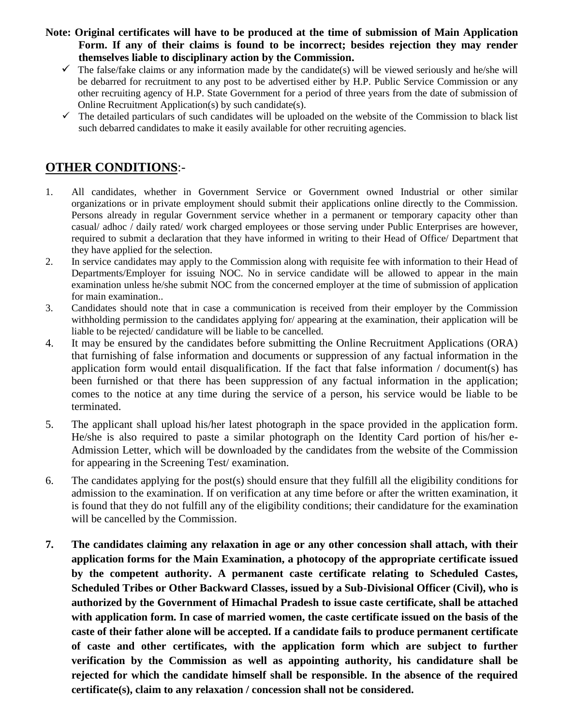**Note: Original certificates will have to be produced at the time of submission of Main Application Form. If any of their claims is found to be incorrect; besides rejection they may render themselves liable to disciplinary action by the Commission.**

- $\checkmark$  The false/fake claims or any information made by the candidate(s) will be viewed seriously and he/she will be debarred for recruitment to any post to be advertised either by H.P. Public Service Commission or any other recruiting agency of H.P. State Government for a period of three years from the date of submission of Online Recruitment Application(s) by such candidate(s).
- $\checkmark$  The detailed particulars of such candidates will be uploaded on the website of the Commission to black list such debarred candidates to make it easily available for other recruiting agencies.

## **OTHER CONDITIONS**:-

- 1. All candidates, whether in Government Service or Government owned Industrial or other similar organizations or in private employment should submit their applications online directly to the Commission. Persons already in regular Government service whether in a permanent or temporary capacity other than casual/ adhoc / daily rated/ work charged employees or those serving under Public Enterprises are however, required to submit a declaration that they have informed in writing to their Head of Office/ Department that they have applied for the selection.
- 2. In service candidates may apply to the Commission along with requisite fee with information to their Head of Departments/Employer for issuing NOC. No in service candidate will be allowed to appear in the main examination unless he/she submit NOC from the concerned employer at the time of submission of application for main examination..
- 3. Candidates should note that in case a communication is received from their employer by the Commission withholding permission to the candidates applying for/ appearing at the examination, their application will be liable to be rejected/ candidature will be liable to be cancelled.
- 4. It may be ensured by the candidates before submitting the Online Recruitment Applications (ORA) that furnishing of false information and documents or suppression of any factual information in the application form would entail disqualification. If the fact that false information / document(s) has been furnished or that there has been suppression of any factual information in the application; comes to the notice at any time during the service of a person, his service would be liable to be terminated.
- 5. The applicant shall upload his/her latest photograph in the space provided in the application form. He/she is also required to paste a similar photograph on the Identity Card portion of his/her e-Admission Letter, which will be downloaded by the candidates from the website of the Commission for appearing in the Screening Test/ examination.
- 6. The candidates applying for the post(s) should ensure that they fulfill all the eligibility conditions for admission to the examination. If on verification at any time before or after the written examination, it is found that they do not fulfill any of the eligibility conditions; their candidature for the examination will be cancelled by the Commission.
- **7. The candidates claiming any relaxation in age or any other concession shall attach, with their application forms for the Main Examination, a photocopy of the appropriate certificate issued by the competent authority. A permanent caste certificate relating to Scheduled Castes, Scheduled Tribes or Other Backward Classes, issued by a Sub-Divisional Officer (Civil), who is authorized by the Government of Himachal Pradesh to issue caste certificate, shall be attached with application form. In case of married women, the caste certificate issued on the basis of the caste of their father alone will be accepted. If a candidate fails to produce permanent certificate of caste and other certificates, with the application form which are subject to further verification by the Commission as well as appointing authority, his candidature shall be rejected for which the candidate himself shall be responsible. In the absence of the required certificate(s), claim to any relaxation / concession shall not be considered.**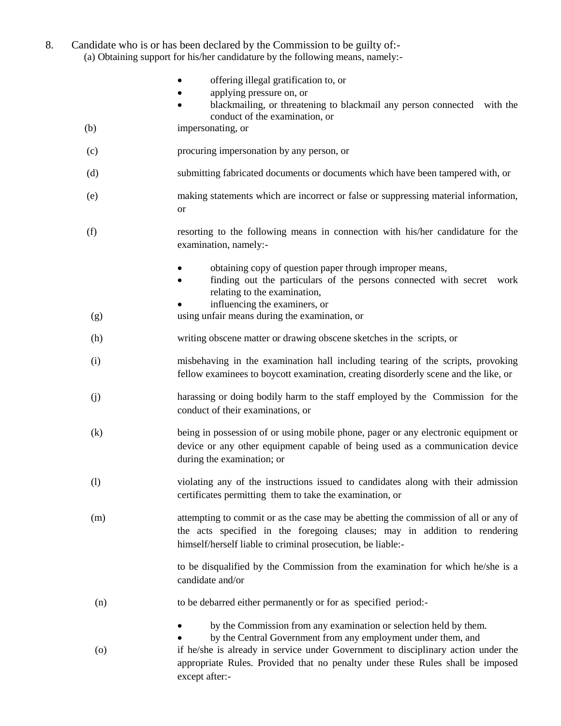8. Candidate who is or has been declared by the Commission to be guilty of:- (a) Obtaining support for his/her candidature by the following means, namely:-

|  |  | offering illegal gratification to, or |
|--|--|---------------------------------------|
|--|--|---------------------------------------|

- applying pressure on, or
- blackmailing, or threatening to blackmail any person connected with the conduct of the examination, or
- (b) impersonating, or
- (c) procuring impersonation by any person, or
- (d) submitting fabricated documents or documents which have been tampered with, or
- (e) making statements which are incorrect or false or suppressing material information, or
- (f) resorting to the following means in connection with his/her candidature for the examination, namely:
	- obtaining copy of question paper through improper means,
	- finding out the particulars of the persons connected with secret work relating to the examination,
	- influencing the examiners, or
- (g) using unfair means during the examination, or
- (h) writing obscene matter or drawing obscene sketches in the scripts, or
- (i) misbehaving in the examination hall including tearing of the scripts, provoking fellow examinees to boycott examination, creating disorderly scene and the like, or
- (j) harassing or doing bodily harm to the staff employed by the Commission for the conduct of their examinations, or
- (k) being in possession of or using mobile phone, pager or any electronic equipment or device or any other equipment capable of being used as a communication device during the examination; or
- (l) violating any of the instructions issued to candidates along with their admission certificates permitting them to take the examination, or
- (m) attempting to commit or as the case may be abetting the commission of all or any of the acts specified in the foregoing clauses; may in addition to rendering himself/herself liable to criminal prosecution, be liable:-

to be disqualified by the Commission from the examination for which he/she is a candidate and/or

- (n) to be debarred either permanently or for as specified period:
	- by the Commission from any examination or selection held by them.
- by the Central Government from any employment under them, and (o) if he/she is already in service under Government to disciplinary action under the appropriate Rules. Provided that no penalty under these Rules shall be imposed except after:-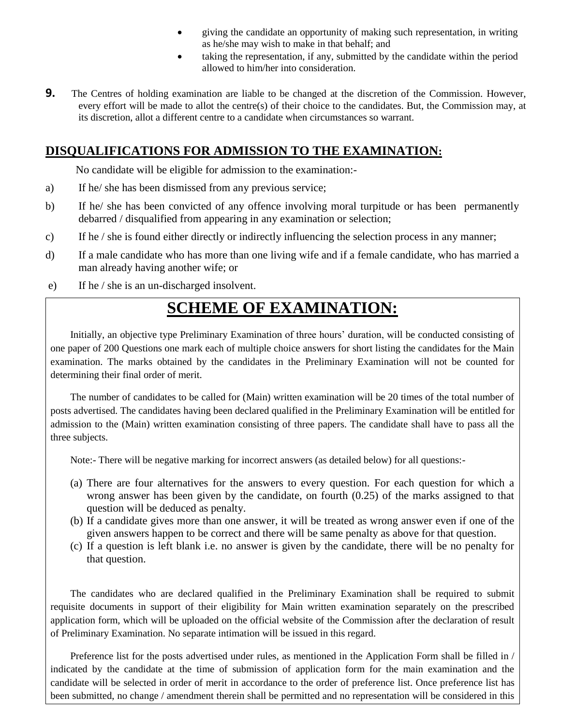- giving the candidate an opportunity of making such representation, in writing as he/she may wish to make in that behalf; and
- taking the representation, if any, submitted by the candidate within the period allowed to him/her into consideration.
- **9.** The Centres of holding examination are liable to be changed at the discretion of the Commission. However, every effort will be made to allot the centre(s) of their choice to the candidates. But, the Commission may, at its discretion, allot a different centre to a candidate when circumstances so warrant.

## **DISQUALIFICATIONS FOR ADMISSION TO THE EXAMINATION:**

No candidate will be eligible for admission to the examination:-

- a) If he/ she has been dismissed from any previous service;
- b) If he/ she has been convicted of any offence involving moral turpitude or has been permanently debarred / disqualified from appearing in any examination or selection;
- c) If he / she is found either directly or indirectly influencing the selection process in any manner;
- d) If a male candidate who has more than one living wife and if a female candidate, who has married a man already having another wife; or
- e) If he / she is an un-discharged insolvent.

# **SCHEME OF EXAMINATION:**

Initially, an objective type Preliminary Examination of three hours' duration, will be conducted consisting of one paper of 200 Questions one mark each of multiple choice answers for short listing the candidates for the Main examination. The marks obtained by the candidates in the Preliminary Examination will not be counted for determining their final order of merit.

The number of candidates to be called for (Main) written examination will be 20 times of the total number of posts advertised. The candidates having been declared qualified in the Preliminary Examination will be entitled for admission to the (Main) written examination consisting of three papers. The candidate shall have to pass all the three subjects.

Note:- There will be negative marking for incorrect answers (as detailed below) for all questions:-

- (a) There are four alternatives for the answers to every question. For each question for which a wrong answer has been given by the candidate, on fourth (0.25) of the marks assigned to that question will be deduced as penalty.
- (b) If a candidate gives more than one answer, it will be treated as wrong answer even if one of the given answers happen to be correct and there will be same penalty as above for that question.
- (c) If a question is left blank i.e. no answer is given by the candidate, there will be no penalty for that question.

The candidates who are declared qualified in the Preliminary Examination shall be required to submit requisite documents in support of their eligibility for Main written examination separately on the prescribed application form, which will be uploaded on the official website of the Commission after the declaration of result of Preliminary Examination. No separate intimation will be issued in this regard.

Preference list for the posts advertised under rules, as mentioned in the Application Form shall be filled in / indicated by the candidate at the time of submission of application form for the main examination and the candidate will be selected in order of merit in accordance to the order of preference list. Once preference list has been submitted, no change / amendment therein shall be permitted and no representation will be considered in this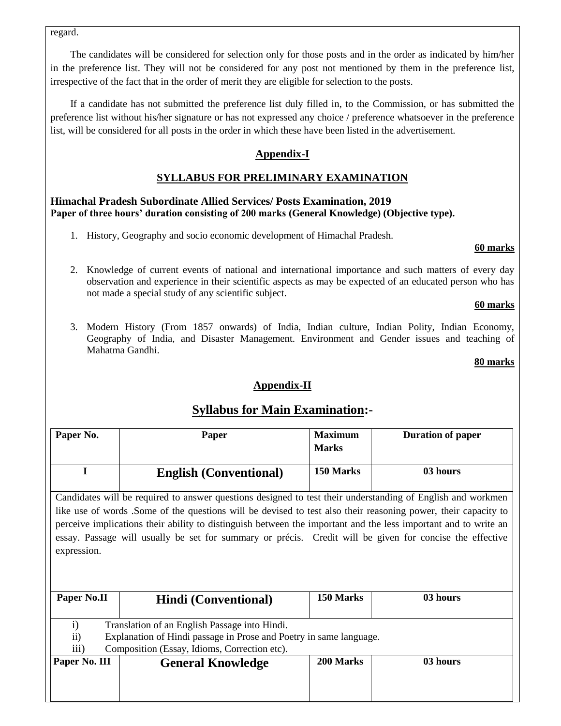regard.

The candidates will be considered for selection only for those posts and in the order as indicated by him/her in the preference list. They will not be considered for any post not mentioned by them in the preference list, irrespective of the fact that in the order of merit they are eligible for selection to the posts.

If a candidate has not submitted the preference list duly filled in, to the Commission, or has submitted the preference list without his/her signature or has not expressed any choice / preference whatsoever in the preference list, will be considered for all posts in the order in which these have been listed in the advertisement.

### **Appendix-I**

### **SYLLABUS FOR PRELIMINARY EXAMINATION**

#### **Himachal Pradesh Subordinate Allied Services/ Posts Examination, 2019 Paper of three hours' duration consisting of 200 marks (General Knowledge) (Objective type).**

1. History, Geography and socio economic development of Himachal Pradesh.

#### **60 marks**

2. Knowledge of current events of national and international importance and such matters of every day observation and experience in their scientific aspects as may be expected of an educated person who has not made a special study of any scientific subject.

### **60 marks**

3. Modern History (From 1857 onwards) of India, Indian culture, Indian Polity, Indian Economy, Geography of India, and Disaster Management. Environment and Gender issues and teaching of Mahatma Gandhi.

#### **80 marks**

### **Appendix-II**

## **Syllabus for Main Examination:-**

| Paper No.                                                                                                                                                                                                            | Paper                                                                                                                                                                                                                                                                                                                                                                                                                                                        | <b>Maximum</b> | <b>Duration of paper</b> |  |  |  |
|----------------------------------------------------------------------------------------------------------------------------------------------------------------------------------------------------------------------|--------------------------------------------------------------------------------------------------------------------------------------------------------------------------------------------------------------------------------------------------------------------------------------------------------------------------------------------------------------------------------------------------------------------------------------------------------------|----------------|--------------------------|--|--|--|
|                                                                                                                                                                                                                      |                                                                                                                                                                                                                                                                                                                                                                                                                                                              | <b>Marks</b>   |                          |  |  |  |
| I                                                                                                                                                                                                                    | <b>English (Conventional)</b>                                                                                                                                                                                                                                                                                                                                                                                                                                | 150 Marks      | 03 hours                 |  |  |  |
| expression.                                                                                                                                                                                                          | Candidates will be required to answer questions designed to test their understanding of English and workmen<br>like use of words. Some of the questions will be devised to test also their reasoning power, their capacity to<br>perceive implications their ability to distinguish between the important and the less important and to write an<br>essay. Passage will usually be set for summary or précis. Credit will be given for concise the effective |                |                          |  |  |  |
| Paper No.II                                                                                                                                                                                                          | <b>Hindi</b> (Conventional)                                                                                                                                                                                                                                                                                                                                                                                                                                  | 150 Marks      | 03 hours                 |  |  |  |
| $\mathbf{i}$<br>Translation of an English Passage into Hindi.<br>Explanation of Hindi passage in Prose and Poetry in same language.<br>$\rm ii)$<br>$\overline{iii}$<br>Composition (Essay, Idioms, Correction etc). |                                                                                                                                                                                                                                                                                                                                                                                                                                                              |                |                          |  |  |  |
| Paper No. III                                                                                                                                                                                                        | <b>General Knowledge</b>                                                                                                                                                                                                                                                                                                                                                                                                                                     | 200 Marks      | 03 hours                 |  |  |  |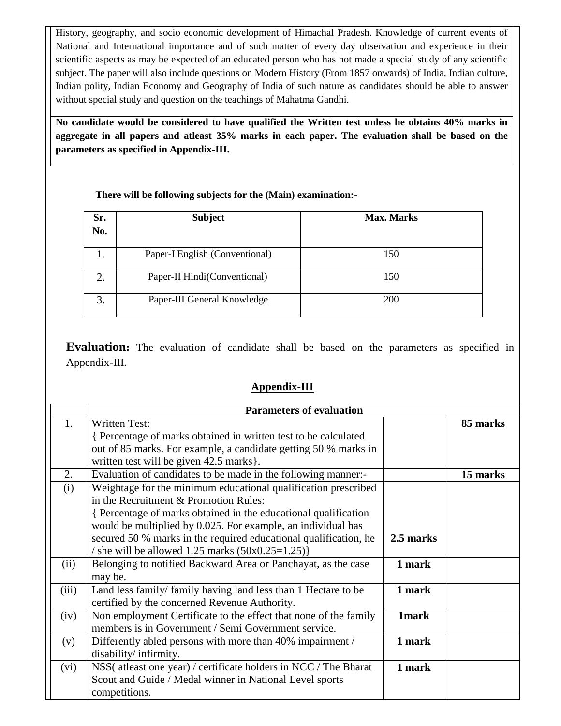History, geography, and socio economic development of Himachal Pradesh. Knowledge of current events of National and International importance and of such matter of every day observation and experience in their scientific aspects as may be expected of an educated person who has not made a special study of any scientific subject. The paper will also include questions on Modern History (From 1857 onwards) of India, Indian culture, Indian polity, Indian Economy and Geography of India of such nature as candidates should be able to answer without special study and question on the teachings of Mahatma Gandhi.

**No candidate would be considered to have qualified the Written test unless he obtains 40% marks in aggregate in all papers and atleast 35% marks in each paper. The evaluation shall be based on the parameters as specified in Appendix-III.** 

### **There will be following subjects for the (Main) examination:-**

| Sr.<br>No. | <b>Subject</b>                 | <b>Max. Marks</b> |
|------------|--------------------------------|-------------------|
|            | Paper-I English (Conventional) | 150               |
|            | Paper-II Hindi(Conventional)   | 150               |
| 3.         | Paper-III General Knowledge    | <b>200</b>        |

**Evaluation:** The evaluation of candidate shall be based on the parameters as specified in Appendix-III.

### **Appendix-III**

|                | <b>Parameters of evaluation</b>                                  |              |          |
|----------------|------------------------------------------------------------------|--------------|----------|
| $\mathbf{1}$ . | <b>Written Test:</b>                                             |              | 85 marks |
|                | Percentage of marks obtained in written test to be calculated    |              |          |
|                | out of 85 marks. For example, a candidate getting 50 % marks in  |              |          |
|                | written test will be given 42.5 marks.                           |              |          |
| 2.             | Evaluation of candidates to be made in the following manner:-    |              | 15 marks |
| (i)            | Weightage for the minimum educational qualification prescribed   |              |          |
|                | in the Recruitment & Promotion Rules:                            |              |          |
|                | { Percentage of marks obtained in the educational qualification  |              |          |
|                | would be multiplied by 0.025. For example, an individual has     |              |          |
|                | secured 50 % marks in the required educational qualification, he | 2.5 marks    |          |
|                | / she will be allowed $1.25$ marks $(50x0.25=1.25)$              |              |          |
| (ii)           | Belonging to notified Backward Area or Panchayat, as the case    | 1 mark       |          |
|                | may be.                                                          |              |          |
| (iii)          | Land less family/ family having land less than 1 Hectare to be   | 1 mark       |          |
|                | certified by the concerned Revenue Authority.                    |              |          |
| (iv)           | Non employment Certificate to the effect that none of the family | <b>1mark</b> |          |
|                | members is in Government / Semi Government service.              |              |          |
| (v)            | Differently abled persons with more than 40% impairment /        | 1 mark       |          |
|                | disability/infirmity.                                            |              |          |
| (vi)           | NSS(atleast one year) / certificate holders in NCC / The Bharat  | 1 mark       |          |
|                | Scout and Guide / Medal winner in National Level sports          |              |          |
|                | competitions.                                                    |              |          |